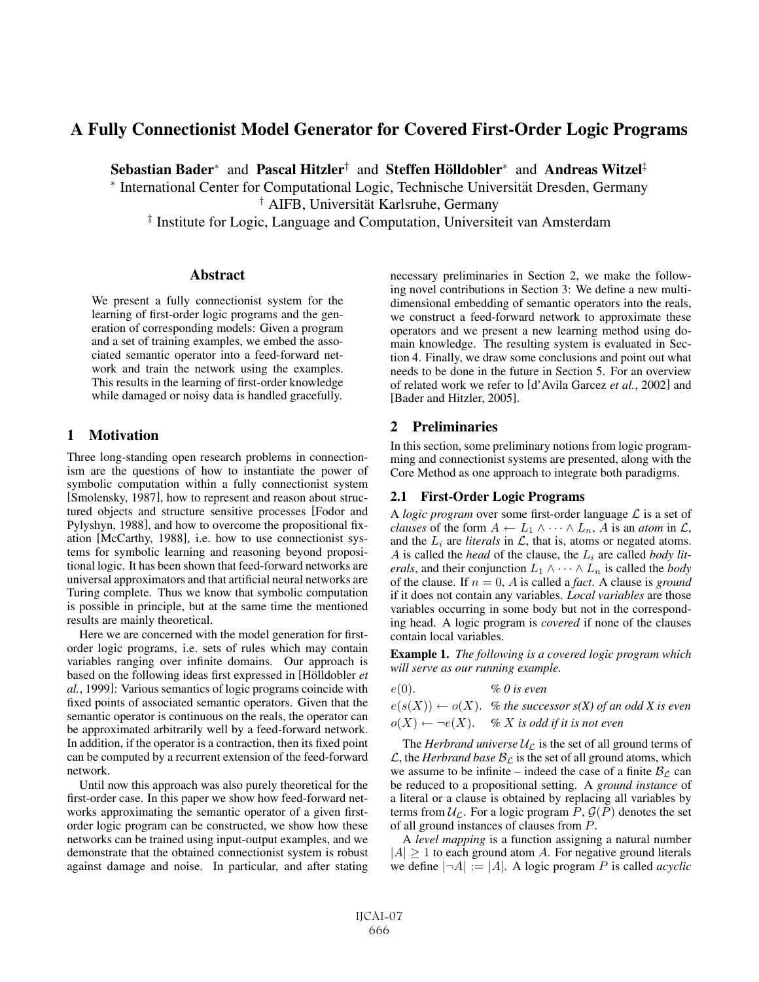# **A Fully Connectionist Model Generator for Covered First-Order Logic Programs**

**Sebastian Bader**<sup>∗</sup> and **Pascal Hitzler**† and **Steffen Holldobler ¨** <sup>∗</sup> and **Andreas Witzel**‡

<sup>∗</sup> International Center for Computational Logic, Technische Universitat Dresden, Germany ¨

<sup>†</sup> AIFB, Universität Karlsruhe, Germany

‡ Institute for Logic, Language and Computation, Universiteit van Amsterdam

### **Abstract**

We present a fully connectionist system for the learning of first-order logic programs and the generation of corresponding models: Given a program and a set of training examples, we embed the associated semantic operator into a feed-forward network and train the network using the examples. This results in the learning of first-order knowledge while damaged or noisy data is handled gracefully.

### **1 Motivation**

Three long-standing open research problems in connectionism are the questions of how to instantiate the power of symbolic computation within a fully connectionist system [Smolensky, 1987], how to represent and reason about structured objects and structure sensitive processes [Fodor and Pylyshyn, 1988], and how to overcome the propositional fixation [McCarthy, 1988], i.e. how to use connectionist systems for symbolic learning and reasoning beyond propositional logic. It has been shown that feed-forward networks are universal approximators and that artificial neural networks are Turing complete. Thus we know that symbolic computation is possible in principle, but at the same time the mentioned results are mainly theoretical.

Here we are concerned with the model generation for firstorder logic programs, i.e. sets of rules which may contain variables ranging over infinite domains. Our approach is based on the following ideas first expressed in [Hölldobler et *al.*, 1999]: Various semantics of logic programs coincide with fixed points of associated semantic operators. Given that the semantic operator is continuous on the reals, the operator can be approximated arbitrarily well by a feed-forward network. In addition, if the operator is a contraction, then its fixed point can be computed by a recurrent extension of the feed-forward network.

Until now this approach was also purely theoretical for the first-order case. In this paper we show how feed-forward networks approximating the semantic operator of a given firstorder logic program can be constructed, we show how these networks can be trained using input-output examples, and we demonstrate that the obtained connectionist system is robust against damage and noise. In particular, and after stating necessary preliminaries in Section 2, we make the following novel contributions in Section 3: We define a new multidimensional embedding of semantic operators into the reals, we construct a feed-forward network to approximate these operators and we present a new learning method using domain knowledge. The resulting system is evaluated in Section 4. Finally, we draw some conclusions and point out what needs to be done in the future in Section 5. For an overview of related work we refer to [d'Avila Garcez *et al.*, 2002] and [Bader and Hitzler, 2005].

# **2 Preliminaries**

In this section, some preliminary notions from logic programming and connectionist systems are presented, along with the Core Method as one approach to integrate both paradigms.

### **2.1 First-Order Logic Programs**

A *logic program* over some first-order language  $\mathcal L$  is a set of *clauses* of the form  $A \leftarrow L_1 \wedge \cdots \wedge L_n$ , A is an *atom* in  $\mathcal{L}$ , and the  $L_i$  are *literals* in  $\mathcal{L}$ , that is, atoms or negated atoms. A is called the *head* of the clause, the  $L_i$  are called *body literals*, and their conjunction  $L_1 \wedge \cdots \wedge L_n$  is called the *body* of the clause. If  $n = 0$ , A is called a *fact*. A clause is *ground* if it does not contain any variables. *Local variables* are those variables occurring in some body but not in the corresponding head. A logic program is *covered* if none of the clauses contain local variables.

**Example 1.** *The following is a covered logic program which will serve as our running example.*

$$
e(0). \qquad \qquad \% \ 0 \text{ is even}
$$

 $e(s(X)) \leftarrow o(X)$ . % the successor  $s(X)$  of an odd X is even  $o(X) \leftarrow \neg e(X)$ . *% X is odd if it is not even* 

The *Herbrand universe*  $U_{\mathcal{L}}$  is the set of all ground terms of  $\mathcal{L}$ , the *Herbrand base*  $\mathcal{B}_{\mathcal{L}}$  is the set of all ground atoms, which we assume to be infinite – indeed the case of a finite  $B_{\mathcal{L}}$  can be reduced to a propositional setting. A *ground instance* of a literal or a clause is obtained by replacing all variables by terms from  $\mathcal{U}_{\mathcal{L}}$ . For a logic program  $P$ ,  $\mathcal{G}(P)$  denotes the set of all ground instances of clauses from P.

A *level mapping* is a function assigning a natural number  $|A| \geq 1$  to each ground atom A. For negative ground literals we define  $|\neg A| := |A|$ . A logic program P is called *acyclic*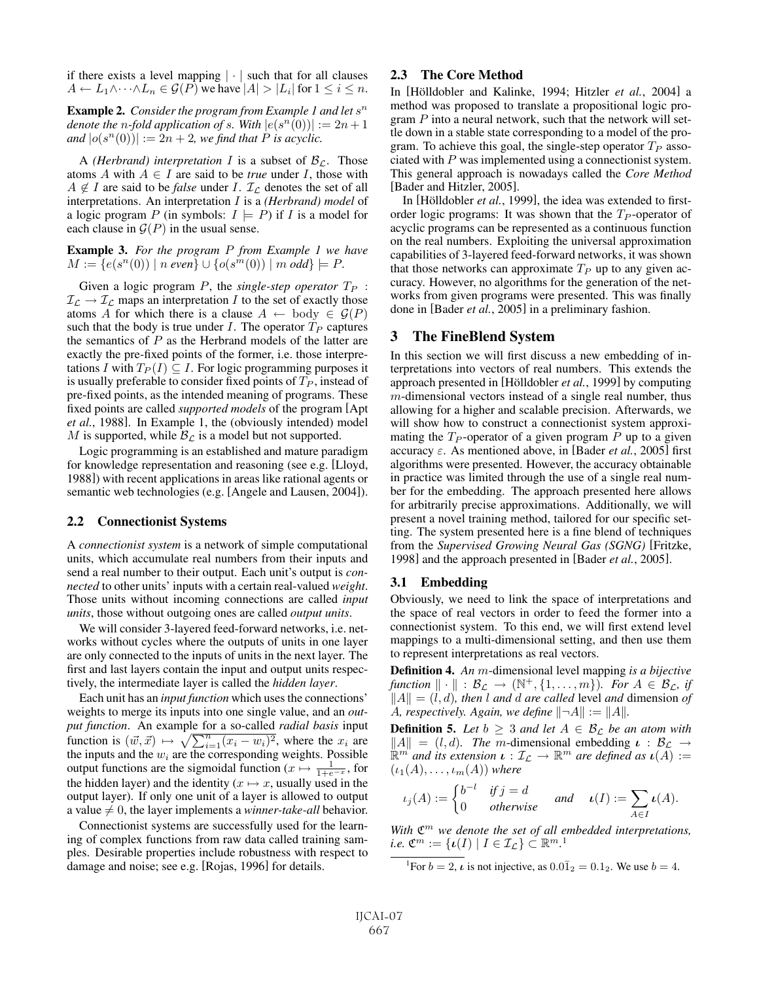if there exists a level mapping  $|\cdot|$  such that for all clauses  $A \leftarrow L_1 \wedge \cdots \wedge L_n \in \mathcal{G}(P)$  we have  $|A| > |L_i|$  for  $1 \leq i \leq n$ .

**Example 2.** *Consider the program from Example 1 and let*  $s^n$ *denote the n-fold application of s*. With  $|e(s^n(0))| := 2n + 1$ *and*  $|o(s^n(0))| := 2n + 2$ *, we find that P is acyclic.* 

A *(Herbrand)* interpretation I is a subset of  $\mathcal{B}_{\mathcal{L}}$ . Those atoms A with  $A \in I$  are said to be *true* under I, those with  $A \notin I$  are said to be *false* under I.  $\mathcal{I}_L$  denotes the set of all interpretations. An interpretation I is a *(Herbrand) model* of a logic program P (in symbols:  $I \models P$ ) if I is a model for each clause in  $\mathcal{G}(P)$  in the usual sense.

**Example 3.** *For the program* P *from Example 1 we have*  $M := \{e(s^n(0)) \mid n \text{ even}\} \cup \{o(s^m(0)) \mid m \text{ odd}\} \models P.$ 

Given a logic program  $P$ , the *single-step operator*  $T_P$ :  $\mathcal{I}_{\mathcal{L}} \to \mathcal{I}_{\mathcal{L}}$  maps an interpretation *I* to the set of exactly those atoms A for which there is a clause  $A \leftarrow \text{body} \in \mathcal{G}(P)$ such that the body is true under  $I$ . The operator  $T_P$  captures the semantics of  $P$  as the Herbrand models of the latter are exactly the pre-fixed points of the former, i.e. those interpretations I with  $T_P(I) \subseteq I$ . For logic programming purposes it is usually preferable to consider fixed points of  $T_P$ , instead of pre-fixed points, as the intended meaning of programs. These fixed points are called *supported models* of the program [Apt *et al.*, 1988]. In Example 1, the (obviously intended) model M is supported, while  $B_{\mathcal{L}}$  is a model but not supported.

Logic programming is an established and mature paradigm for knowledge representation and reasoning (see e.g. [Lloyd, 1988]) with recent applications in areas like rational agents or semantic web technologies (e.g. [Angele and Lausen, 2004]).

#### **2.2 Connectionist Systems**

A *connectionist system* is a network of simple computational units, which accumulate real numbers from their inputs and send a real number to their output. Each unit's output is *connected* to other units' inputs with a certain real-valued *weight*. Those units without incoming connections are called *input units*, those without outgoing ones are called *output units*.

We will consider 3-layered feed-forward networks, i.e. networks without cycles where the outputs of units in one layer are only connected to the inputs of units in the next layer. The first and last layers contain the input and output units respectively, the intermediate layer is called the *hidden layer*.

Each unit has an *input function* which uses the connections' weights to merge its inputs into one single value, and an *output function*. An example for a so-called *radial basis* input function is  $(\vec{w}, \vec{x}) \mapsto \sqrt{\sum_{i=1}^{n}(x_i - w_i)^2}$ , where the  $x_i$  are the inputs and the  $w_i$  are the corresponding weights. Possible output functions are the sigmoidal function ( $x \mapsto \frac{1}{1+e^{-x}}$ , for the hidden layer) and the identity ( $x \mapsto x$ , usually used in the output layer). If only one unit of a layer is allowed to output a value  $\neq 0$ , the layer implements a *winner-take-all* behavior.

Connectionist systems are successfully used for the learning of complex functions from raw data called training samples. Desirable properties include robustness with respect to damage and noise; see e.g. [Rojas, 1996] for details.

### **2.3 The Core Method**

In [Hölldobler and Kalinke, 1994; Hitzler *et al.*, 2004] a method was proposed to translate a propositional logic program  $P$  into a neural network, such that the network will settle down in a stable state corresponding to a model of the program. To achieve this goal, the single-step operator  $T_P$  associated with P was implemented using a connectionist system. This general approach is nowadays called the *Core Method* [Bader and Hitzler, 2005].

In [Hölldobler et al., 1999], the idea was extended to firstorder logic programs: It was shown that the  $T_P$ -operator of acyclic programs can be represented as a continuous function on the real numbers. Exploiting the universal approximation capabilities of 3-layered feed-forward networks, it was shown that those networks can approximate  $T_P$  up to any given accuracy. However, no algorithms for the generation of the networks from given programs were presented. This was finally done in [Bader *et al.*, 2005] in a preliminary fashion.

## **3 The FineBlend System**

In this section we will first discuss a new embedding of interpretations into vectors of real numbers. This extends the approach presented in [Hölldobler *et al.*, 1999] by computing m-dimensional vectors instead of a single real number, thus allowing for a higher and scalable precision. Afterwards, we will show how to construct a connectionist system approximating the  $T_P$ -operator of a given program  $P$  up to a given accuracy  $\varepsilon$ . As mentioned above, in [Bader *et al.*, 2005] first algorithms were presented. However, the accuracy obtainable in practice was limited through the use of a single real number for the embedding. The approach presented here allows for arbitrarily precise approximations. Additionally, we will present a novel training method, tailored for our specific setting. The system presented here is a fine blend of techniques from the *Supervised Growing Neural Gas (SGNG)* [Fritzke, 1998] and the approach presented in [Bader *et al.*, 2005].

### **3.1 Embedding**

Obviously, we need to link the space of interpretations and the space of real vectors in order to feed the former into a connectionist system. To this end, we will first extend level mappings to a multi-dimensional setting, and then use them to represent interpretations as real vectors.

**Definition 4.** *An* m-dimensional level mapping *is a bijective*  $function \parallel \cdot \parallel : \mathcal{B}_{\mathcal{L}} \rightarrow (\mathbb{N}^+, \{1, \ldots, m\})$ *. For*  $A \in \mathcal{B}_{\mathcal{L}}$ *, if*  $||A|| = (l, d)$ *, then l and d are called* level *and* dimension *of* A, respectively. Again, we define  $||\neg A|| := ||A||$ .

**Definition 5.** Let  $b \geq 3$  *and let*  $A \in \mathcal{B}_{\mathcal{L}}$  *be an atom with*  $||A|| = (l, d)$ *. The m*-dimensional embedding  $\mathbf{u} : \mathcal{B}_{\mathcal{L}} \to$  $\mathbb{R}^m$  *and its extension*  $\iota : \mathcal{I}_\mathcal{L} \to \mathbb{R}^m$  *are defined as*  $\iota(A) :=$  $(\iota_1(A),\ldots,\iota_m(A))$  *where* 

$$
\iota_j(A) := \begin{cases} b^{-l} & \text{if } j = d \\ 0 & \text{otherwise} \end{cases} \quad \text{and} \quad \iota(I) := \sum_{A \in I} \iota(A).
$$

*With*  $\mathfrak{C}^m$  *we denote the set of all embedded interpretations, i.e.*  $\mathfrak{C}^m := {\{\iota(I) \mid I \in \mathcal{I}_\mathcal{L}\}} \subset \mathbb{R}^{m}$ .<sup>1</sup>

<sup>1</sup>For  $b = 2$ ,  $\iota$  is not injective, as  $0.0\overline{1}_2 = 0.1_2$ . We use  $b = 4$ .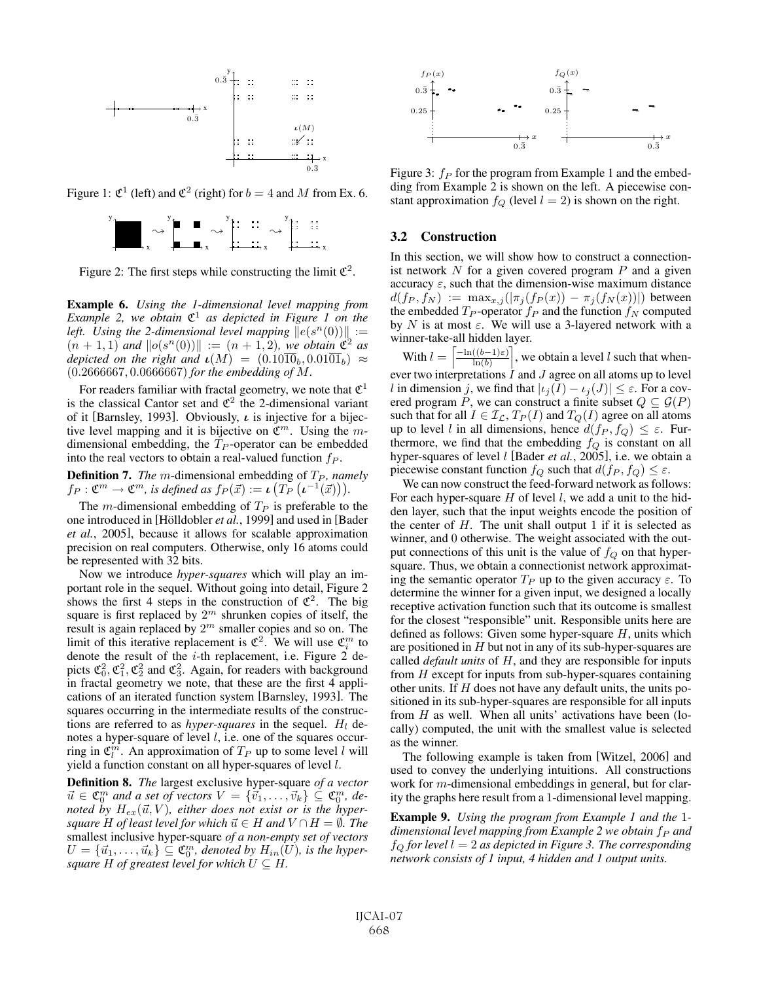

Figure 1:  $\mathfrak{C}^1$  (left) and  $\mathfrak{C}^2$  (right) for  $b = 4$  and M from Ex. 6.



Figure 2: The first steps while constructing the limit  $\mathfrak{C}^2$ .

**Example 6.** *Using the 1-dimensional level mapping from Example 2, we obtain*  $\mathfrak{C}^1$  *as depicted in Figure 1 on the* left. Using the 2-dimensional level mapping  $||e(s^n(0))|| :=$  $(n + 1, 1)$  and  $||o(s^n(0))|| := (n + 1, 2)$ *, we obtain*  $\mathfrak{C}^2$  as *depicted on the right and*  $\iota(M) = (0.10\overline{10}_b, 0.01\overline{01}_b) \approx$ (0.2666667, 0.0666667) *for the embedding of* M*.*

For readers familiar with fractal geometry, we note that  $\mathfrak{C}^1$ is the classical Cantor set and  $\mathfrak{C}^2$  the 2-dimensional variant of it [Barnsley, 1993]. Obviously, *ι* is injective for a bijective level mapping and it is bijective on  $\mathfrak{C}^m$ . Using the mdimensional embedding, the  $T_P$ -operator can be embedded into the real vectors to obtain a real-valued function  $fp$ .

**Definition 7.** *The m*-dimensional embedding of  $T_P$ *, namely*  $f_P: \mathfrak{C}^m \to \mathfrak{C}^m$ , is defined as  $f_P(\vec{x}) := \iota\left(T_P\left(\iota^{-1}(\vec{x})\right)\right)$ .

The m-dimensional embedding of  $T_P$  is preferable to the one introduced in [Hölldobler *et al.*, 1999] and used in [Bader *et al.*, 2005], because it allows for scalable approximation precision on real computers. Otherwise, only 16 atoms could be represented with 32 bits.

Now we introduce *hyper-squares* which will play an important role in the sequel. Without going into detail, Figure 2 shows the first 4 steps in the construction of  $\mathfrak{C}^2$ . The big square is first replaced by  $2^m$  shrunken copies of itself, the result is again replaced by  $2^m$  smaller copies and so on. The limit of this iterative replacement is  $\mathfrak{C}^2$ . We will use  $\mathfrak{C}_i^m$  to denote the result of the  $i$ -th replacement, i.e. Figure 2 depicts  $\mathfrak{C}_0^2$ ,  $\mathfrak{C}_1^2$ ,  $\mathfrak{C}_2^2$  and  $\mathfrak{C}_3^2$ . Again, for readers with background in fractal geometry we note, that these are the first 4 applications of an iterated function system [Barnsley, 1993]. The squares occurring in the intermediate results of the constructions are referred to as *hyper-squares* in the sequel.  $H_l$  denotes a hyper-square of level l, i.e. one of the squares occurring in  $\mathfrak{C}_l^m$ . An approximation of  $T_P$  up to some level l will yield a function constant on all hyper-squares of level l.

**Definition 8.** *The* largest exclusive hyper-square *of a vector*  $\vec{u} \in \mathfrak{C}_0^m$  and a set of vectors  $V = {\vec{v}_1, \ldots, \vec{v}_k} \subseteq \mathfrak{C}_0^m$ , denoted by  $H_{ex}(\vec{u}, V)$ , either does not exist or is the hyper $square$   $H$  *of least level for which*  $\vec{u} \in H$  *and*  $V \cap H = \emptyset$ . The smallest inclusive hyper-square *of a non-empty set of vectors*  $U = {\vec{u}_1, \ldots, \vec{u}_k} \subseteq \mathfrak{C}_0^m$ , denoted by  $H_{in}(U)$ , is the hyper*square*  $H$  *of greatest level for which*  $U \subseteq H$ *.* 



Figure 3:  $f_P$  for the program from Example 1 and the embedding from Example 2 is shown on the left. A piecewise constant approximation  $f_Q$  (level  $l = 2$ ) is shown on the right.

#### **3.2 Construction**

In this section, we will show how to construct a connectionist network  $N$  for a given covered program  $P$  and a given accuracy  $\varepsilon$ , such that the dimension-wise maximum distance  $d(f_P, f_N) := \max_{x,j} (|\pi_j(f_P(x)) - \pi_j(f_N(x))|)$  between the embedded  $T_P$ -operator  $f_P$  and the function  $f_N$  computed by N is at most  $\varepsilon$ . We will use a 3-layered network with a winner-take-all hidden layer.

With  $l = \left[\frac{-\ln((b-1)\varepsilon)}{\ln(b)}\right]$ , we obtain a level l such that when- $\ln(b)$ ever two interpretations  $I$  and  $J$  agree on all atoms up to level l in dimension j, we find that  $|\iota_j(I) - \iota_j(J)| \leq \varepsilon$ . For a covered program P, we can construct a finite subset  $Q \subseteq \mathcal{G}(P)$ such that for all  $I \in \mathcal{I}_{\mathcal{L}}$ ,  $T_P(I)$  and  $T_Q(I)$  agree on all atoms up to level l in all dimensions, hence  $d(f_P, f_Q) \leq \varepsilon$ . Furthermore, we find that the embedding  $f_Q$  is constant on all hyper-squares of level *l* [Bader *et al.*, 2005], i.e. we obtain a piecewise constant function  $f_Q$  such that  $d(f_P, f_Q) \leq \varepsilon$ .

We can now construct the feed-forward network as follows: For each hyper-square  $H$  of level  $l$ , we add a unit to the hidden layer, such that the input weights encode the position of the center of  $H$ . The unit shall output 1 if it is selected as winner, and 0 otherwise. The weight associated with the output connections of this unit is the value of  $f_Q$  on that hypersquare. Thus, we obtain a connectionist network approximating the semantic operator  $T_P$  up to the given accuracy  $\varepsilon$ . To determine the winner for a given input, we designed a locally receptive activation function such that its outcome is smallest for the closest "responsible" unit. Responsible units here are defined as follows: Given some hyper-square  $H$ , units which are positioned in  $H$  but not in any of its sub-hyper-squares are called *default units* of H, and they are responsible for inputs from  $H$  except for inputs from sub-hyper-squares containing other units. If  $H$  does not have any default units, the units positioned in its sub-hyper-squares are responsible for all inputs from  $H$  as well. When all units' activations have been (locally) computed, the unit with the smallest value is selected as the winner.

The following example is taken from [Witzel, 2006] and used to convey the underlying intuitions. All constructions work for *m*-dimensional embeddings in general, but for clarity the graphs here result from a 1-dimensional level mapping.

**Example 9.** *Using the program from Example 1 and the* 1 *dimensional level mapping from Example 2 we obtain*  $f_P$  *and*  $f_Q$  for level  $l = 2$  as depicted in Figure 3. The corresponding *network consists of 1 input, 4 hidden and 1 output units.*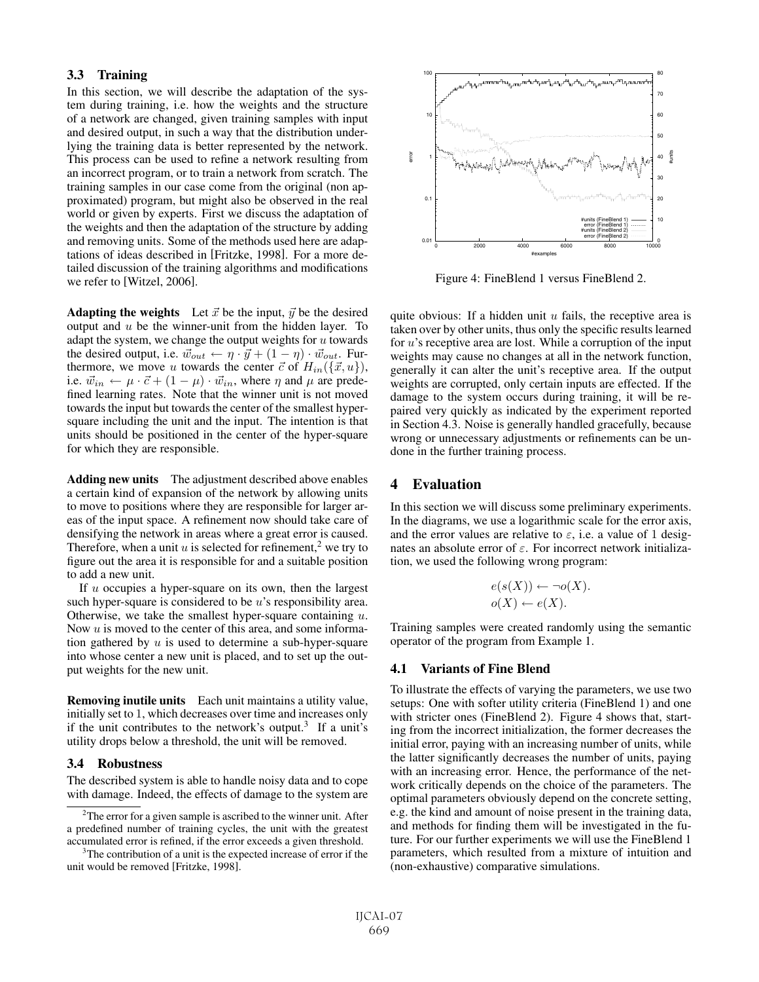# **3.3 Training**

In this section, we will describe the adaptation of the system during training, i.e. how the weights and the structure of a network are changed, given training samples with input and desired output, in such a way that the distribution underlying the training data is better represented by the network. This process can be used to refine a network resulting from an incorrect program, or to train a network from scratch. The training samples in our case come from the original (non approximated) program, but might also be observed in the real world or given by experts. First we discuss the adaptation of the weights and then the adaptation of the structure by adding and removing units. Some of the methods used here are adaptations of ideas described in [Fritzke, 1998]. For a more detailed discussion of the training algorithms and modifications we refer to [Witzel, 2006].

**Adapting the weights** Let  $\vec{x}$  be the input,  $\vec{y}$  be the desired output and  $u$  be the winner-unit from the hidden layer. To adapt the system, we change the output weights for  $u$  towards the desired output, i.e.  $\vec{w}_{out} \leftarrow \eta \cdot \vec{y} + (1 - \eta) \cdot \vec{w}_{out}$ . Furthermore, we move u towards the center  $\vec{c}$  of  $H_{in}(\{\vec{x},u\})$ , i.e.  $\vec{w}_{in} \leftarrow \mu \cdot \vec{c} + (1 - \mu) \cdot \vec{w}_{in}$ , where  $\eta$  and  $\mu$  are predefined learning rates. Note that the winner unit is not moved towards the input but towards the center of the smallest hypersquare including the unit and the input. The intention is that units should be positioned in the center of the hyper-square for which they are responsible.

**Adding new units** The adjustment described above enables a certain kind of expansion of the network by allowing units to move to positions where they are responsible for larger areas of the input space. A refinement now should take care of densifying the network in areas where a great error is caused. Therefore, when a unit  $u$  is selected for refinement,<sup>2</sup> we try to figure out the area it is responsible for and a suitable position to add a new unit.

If u occupies a hyper-square on its own, then the largest such hyper-square is considered to be  $u$ 's responsibility area. Otherwise, we take the smallest hyper-square containing  $u$ . Now  $u$  is moved to the center of this area, and some information gathered by  $u$  is used to determine a sub-hyper-square into whose center a new unit is placed, and to set up the output weights for the new unit.

**Removing inutile units** Each unit maintains a utility value, initially set to 1, which decreases over time and increases only if the unit contributes to the network's output.<sup>3</sup> If a unit's utility drops below a threshold, the unit will be removed.

## **3.4 Robustness**

The described system is able to handle noisy data and to cope with damage. Indeed, the effects of damage to the system are



Figure 4: FineBlend 1 versus FineBlend 2.

quite obvious: If a hidden unit  $u$  fails, the receptive area is taken over by other units, thus only the specific results learned for  $u$ 's receptive area are lost. While a corruption of the input weights may cause no changes at all in the network function, generally it can alter the unit's receptive area. If the output weights are corrupted, only certain inputs are effected. If the damage to the system occurs during training, it will be repaired very quickly as indicated by the experiment reported in Section 4.3. Noise is generally handled gracefully, because wrong or unnecessary adjustments or refinements can be undone in the further training process.

# **4 Evaluation**

In this section we will discuss some preliminary experiments. In the diagrams, we use a logarithmic scale for the error axis, and the error values are relative to  $\varepsilon$ , i.e. a value of 1 designates an absolute error of  $\varepsilon$ . For incorrect network initialization, we used the following wrong program:

$$
e(s(X)) \leftarrow \neg o(X).
$$
  

$$
o(X) \leftarrow e(X).
$$

Training samples were created randomly using the semantic operator of the program from Example 1.

### **4.1 Variants of Fine Blend**

To illustrate the effects of varying the parameters, we use two setups: One with softer utility criteria (FineBlend 1) and one with stricter ones (FineBlend 2). Figure 4 shows that, starting from the incorrect initialization, the former decreases the initial error, paying with an increasing number of units, while the latter significantly decreases the number of units, paying with an increasing error. Hence, the performance of the network critically depends on the choice of the parameters. The optimal parameters obviously depend on the concrete setting, e.g. the kind and amount of noise present in the training data, and methods for finding them will be investigated in the future. For our further experiments we will use the FineBlend 1 parameters, which resulted from a mixture of intuition and (non-exhaustive) comparative simulations.

 $2$ The error for a given sample is ascribed to the winner unit. After a predefined number of training cycles, the unit with the greatest accumulated error is refined, if the error exceeds a given threshold.

<sup>&</sup>lt;sup>3</sup>The contribution of a unit is the expected increase of error if the unit would be removed [Fritzke, 1998].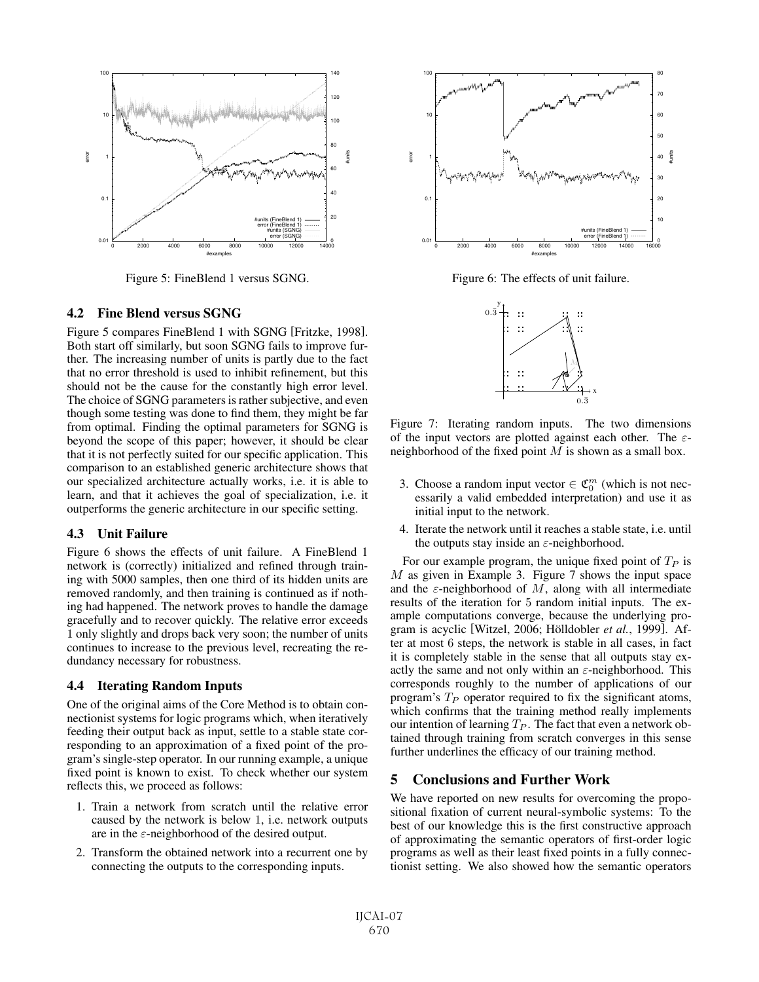

Figure 5: FineBlend 1 versus SGNG.

#### **4.2 Fine Blend versus SGNG**

Figure 5 compares FineBlend 1 with SGNG [Fritzke, 1998]. Both start off similarly, but soon SGNG fails to improve further. The increasing number of units is partly due to the fact that no error threshold is used to inhibit refinement, but this should not be the cause for the constantly high error level. The choice of SGNG parameters is rather subjective, and even though some testing was done to find them, they might be far from optimal. Finding the optimal parameters for SGNG is beyond the scope of this paper; however, it should be clear that it is not perfectly suited for our specific application. This comparison to an established generic architecture shows that our specialized architecture actually works, i.e. it is able to learn, and that it achieves the goal of specialization, i.e. it outperforms the generic architecture in our specific setting.

### **4.3 Unit Failure**

Figure 6 shows the effects of unit failure. A FineBlend 1 network is (correctly) initialized and refined through training with 5000 samples, then one third of its hidden units are removed randomly, and then training is continued as if nothing had happened. The network proves to handle the damage gracefully and to recover quickly. The relative error exceeds 1 only slightly and drops back very soon; the number of units continues to increase to the previous level, recreating the redundancy necessary for robustness.

### **4.4 Iterating Random Inputs**

One of the original aims of the Core Method is to obtain connectionist systems for logic programs which, when iteratively feeding their output back as input, settle to a stable state corresponding to an approximation of a fixed point of the program's single-step operator. In our running example, a unique fixed point is known to exist. To check whether our system reflects this, we proceed as follows:

- 1. Train a network from scratch until the relative error caused by the network is below 1, i.e. network outputs are in the  $\varepsilon$ -neighborhood of the desired output.
- 2. Transform the obtained network into a recurrent one by connecting the outputs to the corresponding inputs.



Figure 6: The effects of unit failure.



Figure 7: Iterating random inputs. The two dimensions of the input vectors are plotted against each other. The  $\varepsilon$ neighborhood of the fixed point  $M$  is shown as a small box.

- 3. Choose a random input vector  $\in \mathfrak{C}_0^m$  (which is not necessarily a valid embedded interpretation) and use it as initial input to the network.
- 4. Iterate the network until it reaches a stable state, i.e. until the outputs stay inside an  $\varepsilon$ -neighborhood.

For our example program, the unique fixed point of  $T_P$  is M as given in Example 3. Figure 7 shows the input space and the  $\varepsilon$ -neighborhood of M, along with all intermediate results of the iteration for 5 random initial inputs. The example computations converge, because the underlying program is acyclic [Witzel, 2006; Hölldobler et al., 1999]. After at most 6 steps, the network is stable in all cases, in fact it is completely stable in the sense that all outputs stay exactly the same and not only within an  $\varepsilon$ -neighborhood. This corresponds roughly to the number of applications of our program's  $T_P$  operator required to fix the significant atoms, which confirms that the training method really implements our intention of learning  $T_P$ . The fact that even a network obtained through training from scratch converges in this sense further underlines the efficacy of our training method.

# **5 Conclusions and Further Work**

We have reported on new results for overcoming the propositional fixation of current neural-symbolic systems: To the best of our knowledge this is the first constructive approach of approximating the semantic operators of first-order logic programs as well as their least fixed points in a fully connectionist setting. We also showed how the semantic operators